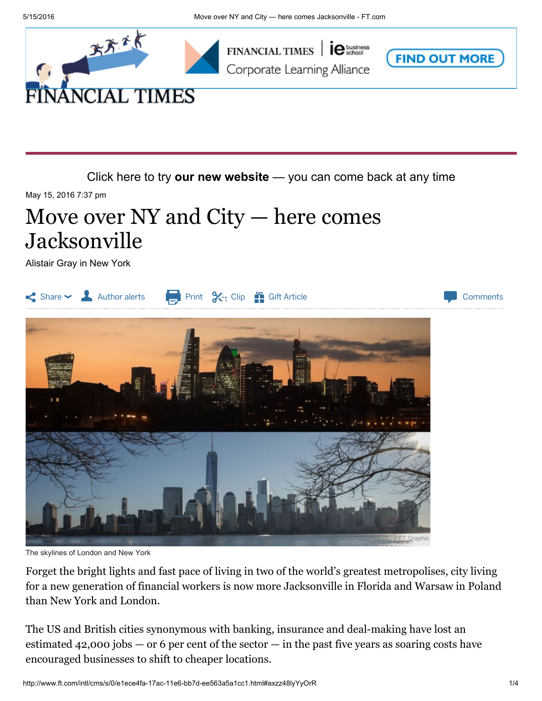





Click here to try our new [website](http://next.ft.com/__opt-in?optedvia=button) — you can come back at any time

May 15, 2016 7:37 pm

## Move over  $NY$  and  $City$  — here comes Jacksonville

Alistair Gray in New York



The skylines of London and New York

Forget the bright lights and fast pace of living in two of the world's greatest metropolises, city living for a new generation of financial workers is now more Jacksonville in Florida and Warsaw in Poland than New York and [London.](http://www.ft.com/intl/cms/s/0/e77d4466-17c3-11e6-bb7d-ee563a5a1cc1.html)

The US and British cities synonymous with banking, insurance and deal-making have lost an estimated  $42,000$  jobs  $-$  or 6 per cent of the sector  $-$  in the past five years as [soaring](http://www.ft.com/intl/cms/s/0/8d8540dc-1703-11e6-9d98-00386a18e39d.html) costs have encouraged businesses to shift to cheaper locations.